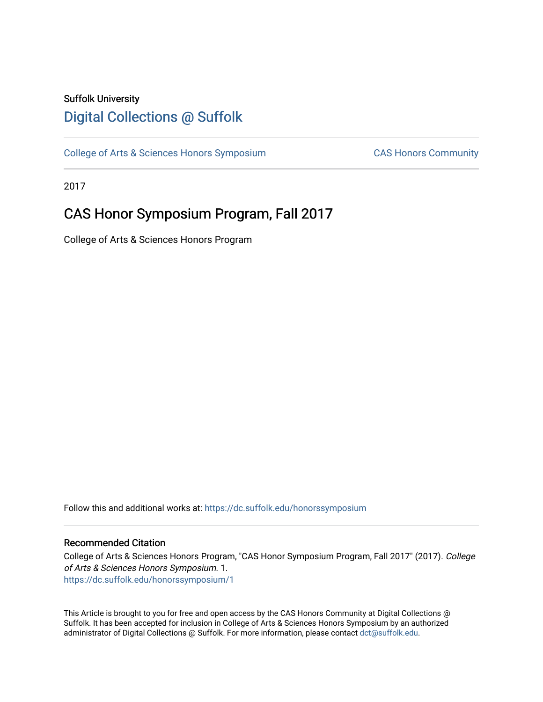## Suffolk University [Digital Collections @ Suffolk](https://dc.suffolk.edu/)

[College of Arts & Sciences Honors Symposium](https://dc.suffolk.edu/honorssymposium) CAS Honors Community

2017

# CAS Honor Symposium Program, Fall 2017

College of Arts & Sciences Honors Program

Follow this and additional works at: [https://dc.suffolk.edu/honorssymposium](https://dc.suffolk.edu/honorssymposium?utm_source=dc.suffolk.edu%2Fhonorssymposium%2F1&utm_medium=PDF&utm_campaign=PDFCoverPages) 

## Recommended Citation

College of Arts & Sciences Honors Program, "CAS Honor Symposium Program, Fall 2017" (2017). College of Arts & Sciences Honors Symposium. 1. [https://dc.suffolk.edu/honorssymposium/1](https://dc.suffolk.edu/honorssymposium/1?utm_source=dc.suffolk.edu%2Fhonorssymposium%2F1&utm_medium=PDF&utm_campaign=PDFCoverPages)

This Article is brought to you for free and open access by the CAS Honors Community at Digital Collections @ Suffolk. It has been accepted for inclusion in College of Arts & Sciences Honors Symposium by an authorized administrator of Digital Collections @ Suffolk. For more information, please contact [dct@suffolk.edu.](mailto:dct@suffolk.edu)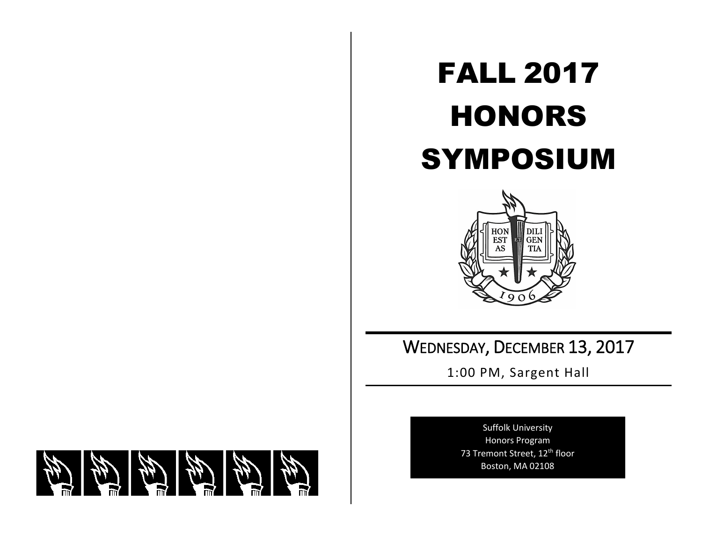# FALL 2017 HONORS SYMPOSIUM



WEDNESDAY, DECEMBER 13, 2017

1:00 PM, Sargent Hall

Suffolk University Honors Program 73 Tremont Street, 12<sup>th</sup> floor Boston, MA 02108

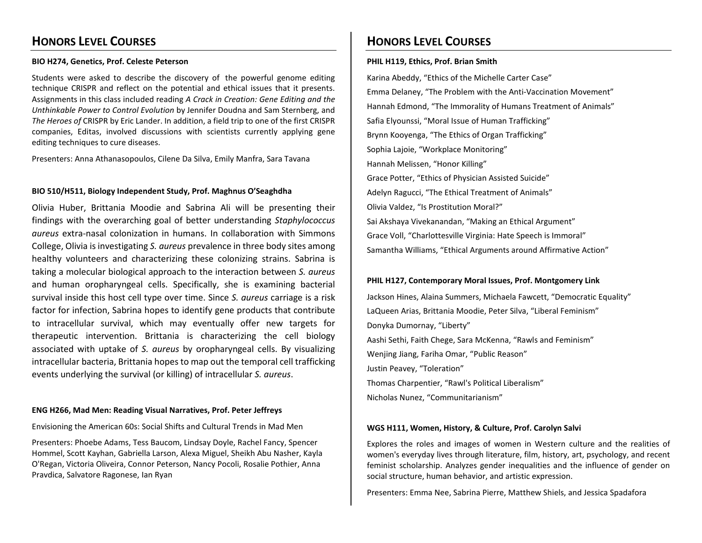## **HONORS LEVEL COURSES**

## **BIO H274, Genetics, Prof. Celeste Peterson**

Students were asked to describe the discovery of the powerful genome editing technique CRISPR and reflect on the potential and ethical issues that it presents. Assignments in this class included reading *A Crack in Creation: Gene Editing and the Unthinkable Power to Control Evolution* by Jennifer Doudna and Sam Sternberg, and *The Heroes of* CRISPR by Eric Lander. In addition, a field trip to one of the first CRISPR companies, Editas, involved discussions with scientists currently applying gene editing techniques to cure diseases.

Presenters: Anna Athanasopoulos, Cilene Da Silva, Emily Manfra, Sara Tavana

## **BIO 510/H511, Biology Independent Study, Prof. Maghnus O'Seaghdha**

Olivia Huber, Brittania Moodie and Sabrina Ali will be presenting their findings with the overarching goal of better understanding *Staphylococcus aureus* extra-nasal colonization in humans. In collaboration with Simmons College, Olivia is investigating *S. aureus* prevalence in three body sites among healthy volunteers and characterizing these colonizing strains. Sabrina is taking a molecular biological approach to the interaction between *S. aureus* and human oropharyngeal cells. Specifically, she is examining bacterial survival inside this host cell type over time. Since *S. aureus* carriage is a risk factor for infection, Sabrina hopes to identify gene products that contribute to intracellular survival, which may eventually offer new targets for therapeutic intervention. Brittania is characterizing the cell biology associated with uptake of *S. aureus* by oropharyngeal cells. By visualizing intracellular bacteria, Brittania hopes to map out the temporal cell trafficking events underlying the survival (or killing) of intracellular *S. aureus*.

## **ENG H266, Mad Men: Reading Visual Narratives, Prof. Peter Jeffreys**

Envisioning the American 60s: Social Shifts and Cultural Trends in Mad Men

Presenters: Phoebe Adams, Tess Baucom, Lindsay Doyle, Rachel Fancy, Spencer Hommel, Scott Kayhan, Gabriella Larson, Alexa Miguel, Sheikh Abu Nasher, Kayla O'Regan, Victoria Oliveira, Connor Peterson, Nancy Pocoli, Rosalie Pothier, Anna Pravdica, Salvatore Ragonese, Ian Ryan

## **HONORS LEVEL COURSES**

### **PHIL H119, Ethics, Prof. Brian Smith**

Karina Abeddy, "Ethics of the Michelle Carter Case" Emma Delaney, "The Problem with the Anti-Vaccination Movement" Hannah Edmond, "The Immorality of Humans Treatment of Animals" Safia Elyounssi, "Moral Issue of Human Trafficking" Brynn Kooyenga, "The Ethics of Organ Trafficking" Sophia Lajoie, "Workplace Monitoring" Hannah Melissen, "Honor Killing" Grace Potter, "Ethics of Physician Assisted Suicide" Adelyn Ragucci, "The Ethical Treatment of Animals" Olivia Valdez, "Is Prostitution Moral?" Sai Akshaya Vivekanandan, "Making an Ethical Argument" Grace Voll, "Charlottesville Virginia: Hate Speech is Immoral" Samantha Williams, "Ethical Arguments around Affirmative Action"

## **PHIL H127, Contemporary Moral Issues, Prof. Montgomery Link**

Jackson Hines, Alaina Summers, Michaela Fawcett, "Democratic Equality" LaQueen Arias, Brittania Moodie, Peter Silva, "Liberal Feminism" Donyka Dumornay, "Liberty" Aashi Sethi, Faith Chege, Sara McKenna, "Rawls and Feminism" Wenjing Jiang, Fariha Omar, "Public Reason" Justin Peavey, "Toleration" Thomas Charpentier, "Rawl's Political Liberalism" Nicholas Nunez, "Communitarianism"

## **WGS H111, Women, History, & Culture, Prof. Carolyn Salvi**

Explores the roles and images of women in Western culture and the realities of women's everyday lives through literature, film, history, art, psychology, and recent feminist scholarship. Analyzes gender inequalities and the influence of gender on social structure, human behavior, and artistic expression.

Presenters: Emma Nee, Sabrina Pierre, Matthew Shiels, and Jessica Spadafora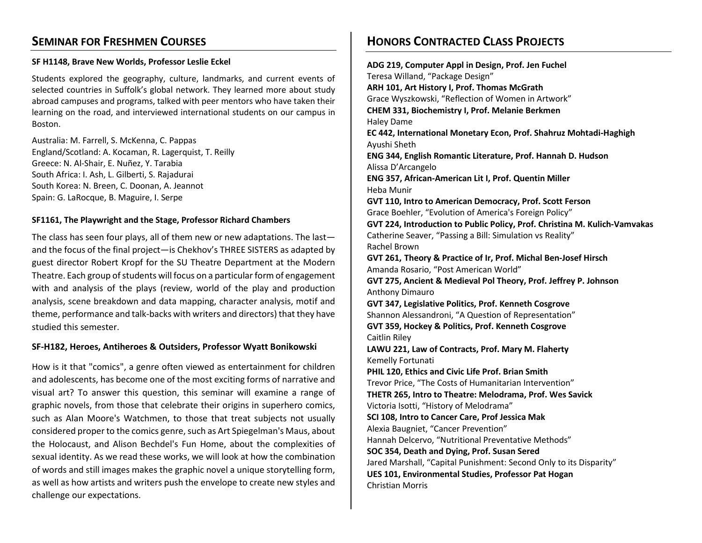## **SEMINAR FOR FRESHMEN COURSES**

## **SF H1148, Brave New Worlds, Professor Leslie Eckel**

Students explored the geography, culture, landmarks, and current events of selected countries in Suffolk's global network. They learned more about study abroad campuses and programs, talked with peer mentors who have taken their learning on the road, and interviewed international students on our campus in Boston.

Australia: M. Farrell, S. McKenna, C. Pappas England/Scotland: A. Kocaman, R. Lagerquist, T. Reilly Greece: N. Al-Shair, E. Nuñez, Y. Tarabia South Africa: I. Ash, L. Gilberti, S. Rajadurai South Korea: N. Breen, C. Doonan, A. Jeannot Spain: G. LaRocque, B. Maguire, I. Serpe

## **SF1161, The Playwright and the Stage, Professor Richard Chambers**

The class has seen four plays, all of them new or new adaptations. The last and the focus of the final project—is Chekhov's THREE SISTERS as adapted by guest director Robert Kropf for the SU Theatre Department at the Modern Theatre. Each group of students will focus on a particular form of engagement with and analysis of the plays (review, world of the play and production analysis, scene breakdown and data mapping, character analysis, motif and theme, performance and talk-backs with writers and directors) that they have studied this semester.

## **SF-H182, Heroes, Antiheroes & Outsiders, Professor Wyatt Bonikowski**

How is it that "comics", a genre often viewed as entertainment for children and adolescents, has become one of the most exciting forms of narrative and visual art? To answer this question, this seminar will examine a range of graphic novels, from those that celebrate their origins in superhero comics, such as Alan Moore's Watchmen, to those that treat subjects not usually considered proper to the comics genre, such as Art Spiegelman's Maus, about the Holocaust, and Alison Bechdel's Fun Home, about the complexities of sexual identity. As we read these works, we will look at how the combination of words and still images makes the graphic novel a unique storytelling form, as well as how artists and writers push the envelope to create new styles and challenge our expectations.

## **HONORS CONTRACTED CLASS PROJECTS**

**ADG 219, Computer Appl in Design, Prof. Jen Fuchel** Teresa Willand, "Package Design" **ARH 101, Art History I, Prof. Thomas McGrath**  Grace Wyszkowski, "Reflection of Women in Artwork" **CHEM 331, Biochemistry I, Prof. Melanie Berkmen** Haley Dame **EC 442, International Monetary Econ, Prof. Shahruz Mohtadi-Haghigh** Ayushi Sheth **ENG 344, English Romantic Literature, Prof. Hannah D. Hudson** Alissa D'Arcangelo **ENG 357, African-American Lit I, Prof. Quentin Miller** Heba Munir **GVT 110, Intro to American Democracy, Prof. Scott Ferson**  Grace Boehler, "Evolution of America's Foreign Policy" **GVT 224, Introduction to Public Policy, Prof. Christina M. Kulich-Vamvakas** Catherine Seaver, "Passing a Bill: Simulation vs Reality" Rachel Brown **GVT 261, Theory & Practice of Ir, Prof. Michal Ben-Josef Hirsch** Amanda Rosario, "Post American World" **GVT 275, Ancient & Medieval Pol Theory, Prof. Jeffrey P. Johnson** Anthony Dimauro **GVT 347, Legislative Politics, Prof. Kenneth Cosgrove** Shannon Alessandroni, "A Question of Representation" **GVT 359, Hockey & Politics, Prof. Kenneth Cosgrove** Caitlin Riley **LAWU 221, Law of Contracts, Prof. Mary M. Flaherty** Kemelly Fortunati **PHIL 120, Ethics and Civic Life Prof. Brian Smith** Trevor Price, "The Costs of Humanitarian Intervention" **THETR 265, Intro to Theatre: Melodrama, Prof. Wes Savick** Victoria Isotti, "History of Melodrama" **SCI 108, Intro to Cancer Care, Prof Jessica Mak** Alexia Baugniet, "Cancer Prevention" Hannah Delcervo, "Nutritional Preventative Methods" **SOC 354, Death and Dying, Prof. Susan Sered** Jared Marshall, "Capital Punishment: Second Only to its Disparity" **UES 101, Environmental Studies, Professor Pat Hogan** Christian Morris